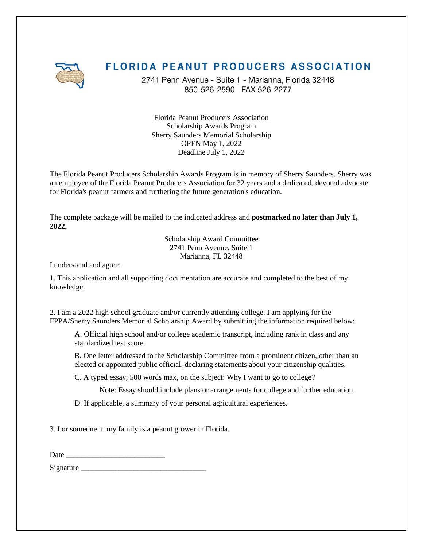

## **FLORIDA PEANUT PRODUCERS ASSOCIATION**

2741 Penn Avenue - Suite 1 - Marianna, Florida 32448 850-526-2590 FAX 526-2277

Florida Peanut Producers Association Scholarship Awards Program Sherry Saunders Memorial Scholarship OPEN May 1, 2022 Deadline July 1, 2022

The Florida Peanut Producers Scholarship Awards Program is in memory of Sherry Saunders. Sherry was an employee of the Florida Peanut Producers Association for 32 years and a dedicated, devoted advocate for Florida's peanut farmers and furthering the future generation's education.

The complete package will be mailed to the indicated address and **postmarked no later than July 1, 2022.**

> Scholarship Award Committee 2741 Penn Avenue, Suite 1 Marianna, FL 32448

I understand and agree:

1. This application and all supporting documentation are accurate and completed to the best of my knowledge.

2. I am a 2022 high school graduate and/or currently attending college. I am applying for the FPPA/Sherry Saunders Memorial Scholarship Award by submitting the information required below:

A. Official high school and/or college academic transcript, including rank in class and any standardized test score.

B. One letter addressed to the Scholarship Committee from a prominent citizen, other than an elected or appointed public official, declaring statements about your citizenship qualities.

C. A typed essay, 500 words max, on the subject: Why I want to go to college?

Note: Essay should include plans or arrangements for college and further education.

D. If applicable, a summary of your personal agricultural experiences.

3. I or someone in my family is a peanut grower in Florida.

Date \_\_\_\_\_\_\_\_\_\_\_\_\_\_\_\_\_\_\_\_\_\_\_\_\_\_

Signature \_\_\_\_\_\_\_\_\_\_\_\_\_\_\_\_\_\_\_\_\_\_\_\_\_\_\_\_\_\_\_\_\_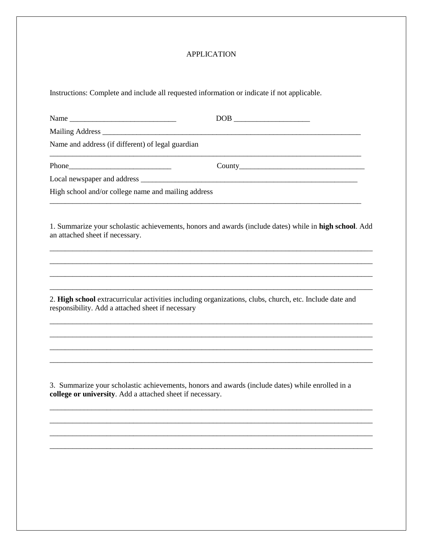## **APPLICATION**

Instructions: Complete and include all requested information or indicate if not applicable.

|                                                           | $\boxed{\text{DOB}}_{\text{max}}$                                                                       |
|-----------------------------------------------------------|---------------------------------------------------------------------------------------------------------|
|                                                           |                                                                                                         |
| Name and address (if different) of legal guardian         |                                                                                                         |
|                                                           | Country                                                                                                 |
|                                                           |                                                                                                         |
| High school and/or college name and mailing address       |                                                                                                         |
| an attached sheet if necessary.                           | 1. Summarize your scholastic achievements, honors and awards (include dates) while in high school. Add  |
|                                                           |                                                                                                         |
| responsibility. Add a attached sheet if necessary         | 2. High school extracurricular activities including organizations, clubs, church, etc. Include date and |
|                                                           |                                                                                                         |
| college or university. Add a attached sheet if necessary. | 3. Summarize your scholastic achievements, honors and awards (include dates) while enrolled in a        |
|                                                           |                                                                                                         |
|                                                           |                                                                                                         |
|                                                           |                                                                                                         |
|                                                           |                                                                                                         |